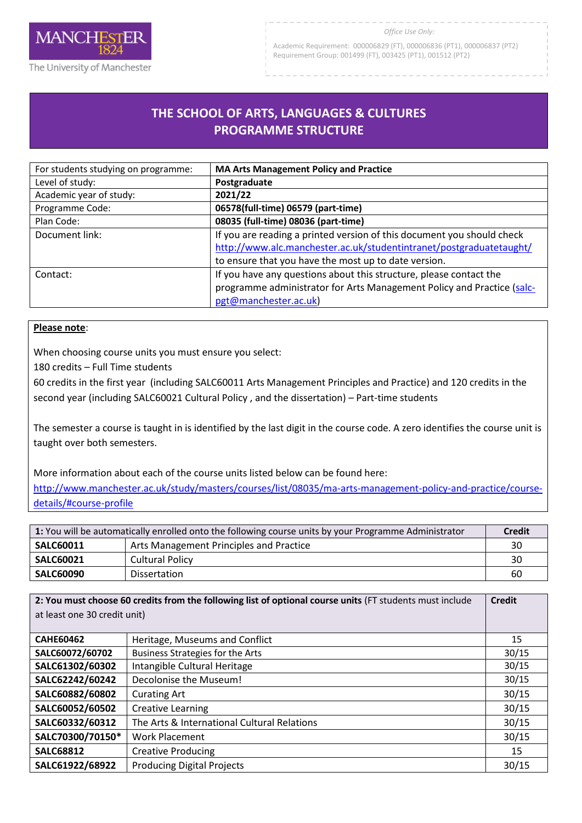

#### *Office Use Only:*

Academic Requirement: 000006829 (FT), 000006836 (PT1), 000006837 (PT2) Requirement Group: 001499 (FT), 003425 (PT1), 001512 (PT2)

# **THE SCHOOL OF ARTS, LANGUAGES & CULTURES PROGRAMME STRUCTURE**

R

| For students studying on programme: | <b>MA Arts Management Policy and Practice</b>                          |
|-------------------------------------|------------------------------------------------------------------------|
| Level of study:                     | Postgraduate                                                           |
| Academic year of study:             | 2021/22                                                                |
| Programme Code:                     | 06578(full-time) 06579 (part-time)                                     |
| Plan Code:                          | 08035 (full-time) 08036 (part-time)                                    |
| Document link:                      | If you are reading a printed version of this document you should check |
|                                     | http://www.alc.manchester.ac.uk/studentintranet/postgraduatetaught/    |
|                                     | to ensure that you have the most up to date version.                   |
| Contact:                            | If you have any questions about this structure, please contact the     |
|                                     | programme administrator for Arts Management Policy and Practice (salc- |
|                                     | pgt@manchester.ac.uk)                                                  |

# **Please note**:

When choosing course units you must ensure you select:

180 credits – Full Time students

60 credits in the first year (including SALC60011 Arts Management Principles and Practice) and 120 credits in the second year (including SALC60021 Cultural Policy , and the dissertation) – Part-time students

The semester a course is taught in is identified by the last digit in the course code. A zero identifies the course unit is taught over both semesters.

More information about each of the course units listed below can be found here:

[http://www.manchester.ac.uk/study/masters/courses/list/08035/ma-arts-management-policy-and-practice/course](http://www.manchester.ac.uk/study/masters/courses/list/08035/ma-arts-management-policy-and-practice/course-details/#course-profile)[details/#course-profile](http://www.manchester.ac.uk/study/masters/courses/list/08035/ma-arts-management-policy-and-practice/course-details/#course-profile)

| 1: You will be automatically enrolled onto the following course units by your Programme Administrator |                                         | <b>Credit</b> |
|-------------------------------------------------------------------------------------------------------|-----------------------------------------|---------------|
| <b>SALC60011</b>                                                                                      | Arts Management Principles and Practice | 30            |
| <b>SALC60021</b>                                                                                      | <b>Cultural Policy</b>                  | 30            |
| <b>SALC60090</b>                                                                                      | <b>Dissertation</b>                     | 60            |

| 2: You must choose 60 credits from the following list of optional course units (FT students must include |                                             | <b>Credit</b> |
|----------------------------------------------------------------------------------------------------------|---------------------------------------------|---------------|
| at least one 30 credit unit)                                                                             |                                             |               |
|                                                                                                          |                                             |               |
| <b>CAHE60462</b>                                                                                         | Heritage, Museums and Conflict              | 15            |
| SALC60072/60702                                                                                          | <b>Business Strategies for the Arts</b>     | 30/15         |
| SALC61302/60302                                                                                          | Intangible Cultural Heritage                | 30/15         |
| SALC62242/60242                                                                                          | Decolonise the Museum!                      | 30/15         |
| SALC60882/60802                                                                                          | <b>Curating Art</b>                         | 30/15         |
| SALC60052/60502                                                                                          | <b>Creative Learning</b>                    | 30/15         |
| SALC60332/60312                                                                                          | The Arts & International Cultural Relations | 30/15         |
| SALC70300/70150*                                                                                         | <b>Work Placement</b>                       | 30/15         |
| <b>SALC68812</b>                                                                                         | <b>Creative Producing</b>                   | 15            |
| SALC61922/68922                                                                                          | <b>Producing Digital Projects</b>           | 30/15         |